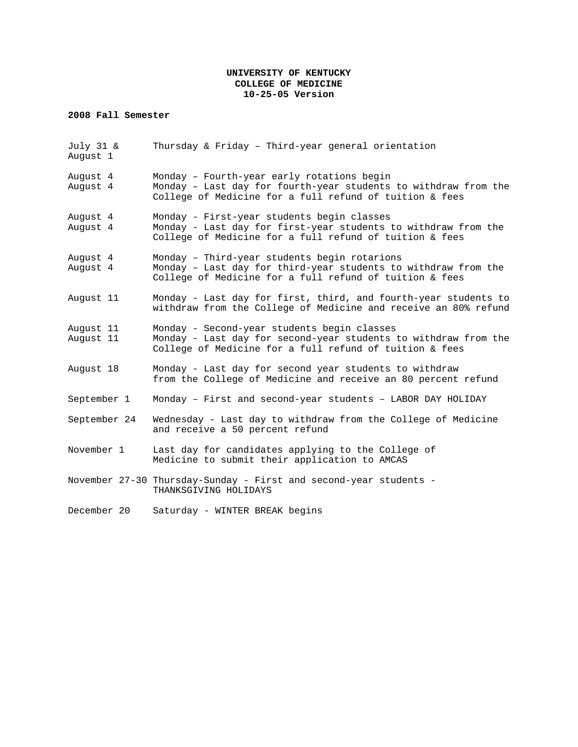### **UNIVERSITY OF KENTUCKY COLLEGE OF MEDICINE 10-25-05 Version**

## **2008 Fall Semester**

| July 31 &<br>August 1  | Thursday & Friday - Third-year general orientation                                                                                                                        |
|------------------------|---------------------------------------------------------------------------------------------------------------------------------------------------------------------------|
| August 4<br>August 4   | Monday - Fourth-year early rotations begin<br>Monday - Last day for fourth-year students to withdraw from the<br>College of Medicine for a full refund of tuition & fees  |
| August 4<br>August 4   | Monday - First-year students begin classes<br>Monday - Last day for first-year students to withdraw from the<br>College of Medicine for a full refund of tuition & fees   |
| August 4<br>August 4   | Monday - Third-year students begin rotarions<br>Monday - Last day for third-year students to withdraw from the<br>College of Medicine for a full refund of tuition & fees |
| August 11              | Monday - Last day for first, third, and fourth-year students to<br>withdraw from the College of Medicine and receive an 80% refund                                        |
| August 11<br>August 11 | Monday - Second-year students begin classes<br>Monday - Last day for second-year students to withdraw from the<br>College of Medicine for a full refund of tuition & fees |
| August 18              | Monday - Last day for second year students to withdraw<br>from the College of Medicine and receive an 80 percent refund                                                   |
| September 1            | Monday - First and second-year students - LABOR DAY HOLIDAY                                                                                                               |
| September 24           | Wednesday - Last day to withdraw from the College of Medicine<br>and receive a 50 percent refund                                                                          |
| November 1             | Last day for candidates applying to the College of<br>Medicine to submit their application to AMCAS                                                                       |
|                        | November 27-30 Thursday-Sunday - First and second-year students -<br>THANKSGIVING HOLIDAYS                                                                                |
| December 20            | Saturday - WINTER BREAK begins                                                                                                                                            |